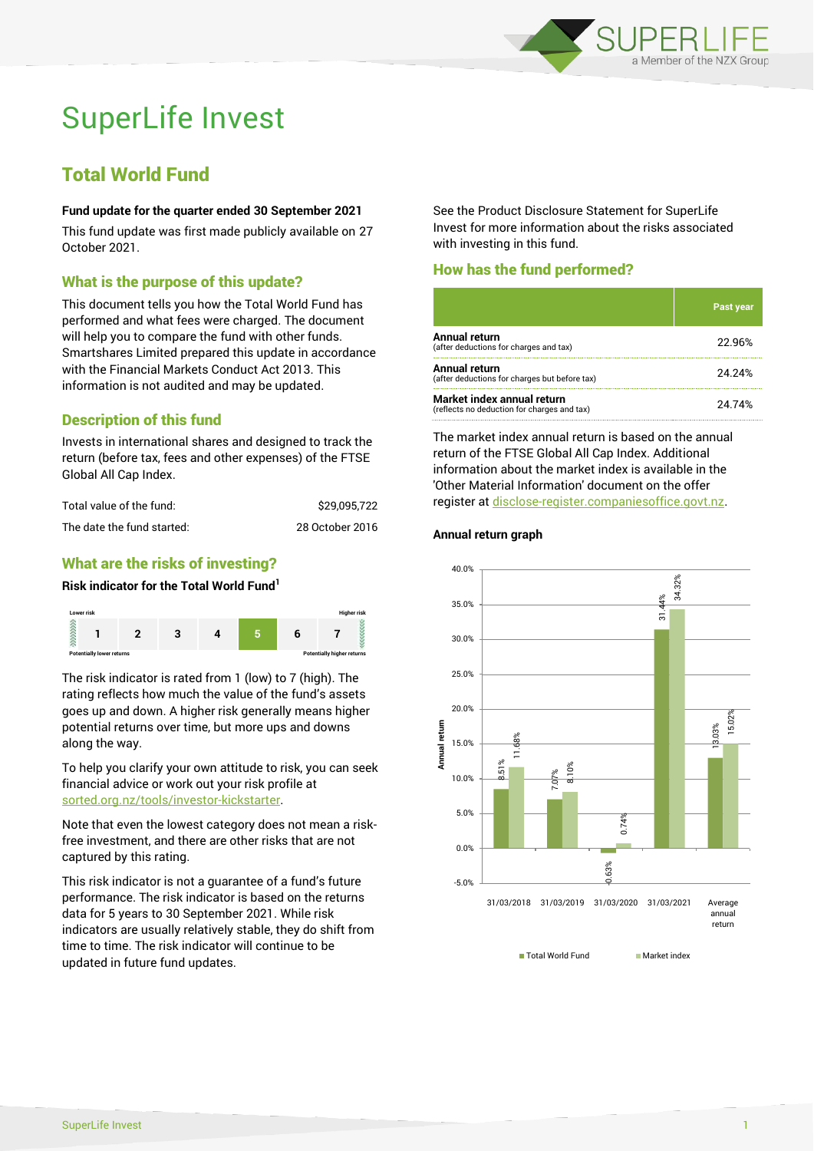

# SuperLife Invest

# Total World Fund

#### **Fund update for the quarter ended 30 September 2021**

This fund update was first made publicly available on 27 October 2021.

#### What is the purpose of this update?

This document tells you how the Total World Fund has performed and what fees were charged. The document will help you to compare the fund with other funds. Smartshares Limited prepared this update in accordance with the Financial Markets Conduct Act 2013. This information is not audited and may be updated.

### Description of this fund

Invests in international shares and designed to track the return (before tax, fees and other expenses) of the FTSE Global All Cap Index.

| Total value of the fund:   | \$29.095.722    |
|----------------------------|-----------------|
| The date the fund started: | 28 October 2016 |

# What are the risks of investing?

#### **Risk indicator for the Total World Fund<sup>1</sup>**



The risk indicator is rated from 1 (low) to 7 (high). The rating reflects how much the value of the fund's assets goes up and down. A higher risk generally means higher potential returns over time, but more ups and downs along the way.

To help you clarify your own attitude to risk, you can seek financial advice or work out your risk profile at [sorted.org.nz/tools/investor-kickstarter.](http://www.sorted.org.nz/tools/investor-kickstarter)

Note that even the lowest category does not mean a riskfree investment, and there are other risks that are not captured by this rating.

This risk indicator is not a guarantee of a fund's future performance. The risk indicator is based on the returns data for 5 years to 30 September 2021. While risk indicators are usually relatively stable, they do shift from time to time. The risk indicator will continue to be updated in future fund updates.

See the Product Disclosure Statement for SuperLife Invest for more information about the risks associated with investing in this fund.

#### How has the fund performed?

|                                                                           | <b>Past year</b> |
|---------------------------------------------------------------------------|------------------|
| Annual return<br>(after deductions for charges and tax)                   | 22.96%           |
| <b>Annual return</b><br>(after deductions for charges but before tax)     | 24.24%           |
| Market index annual return<br>(reflects no deduction for charges and tax) | 24.74%           |

The market index annual return is based on the annual return of the FTSE Global All Cap Index. Additional information about the market index is available in the 'Other Material Information' document on the offer register a[t disclose-register.companiesoffice.govt.nz.](http://www.disclose-register.companiesoffice.govt.nz/)

#### **Annual return graph**



■ Total World Fund Market index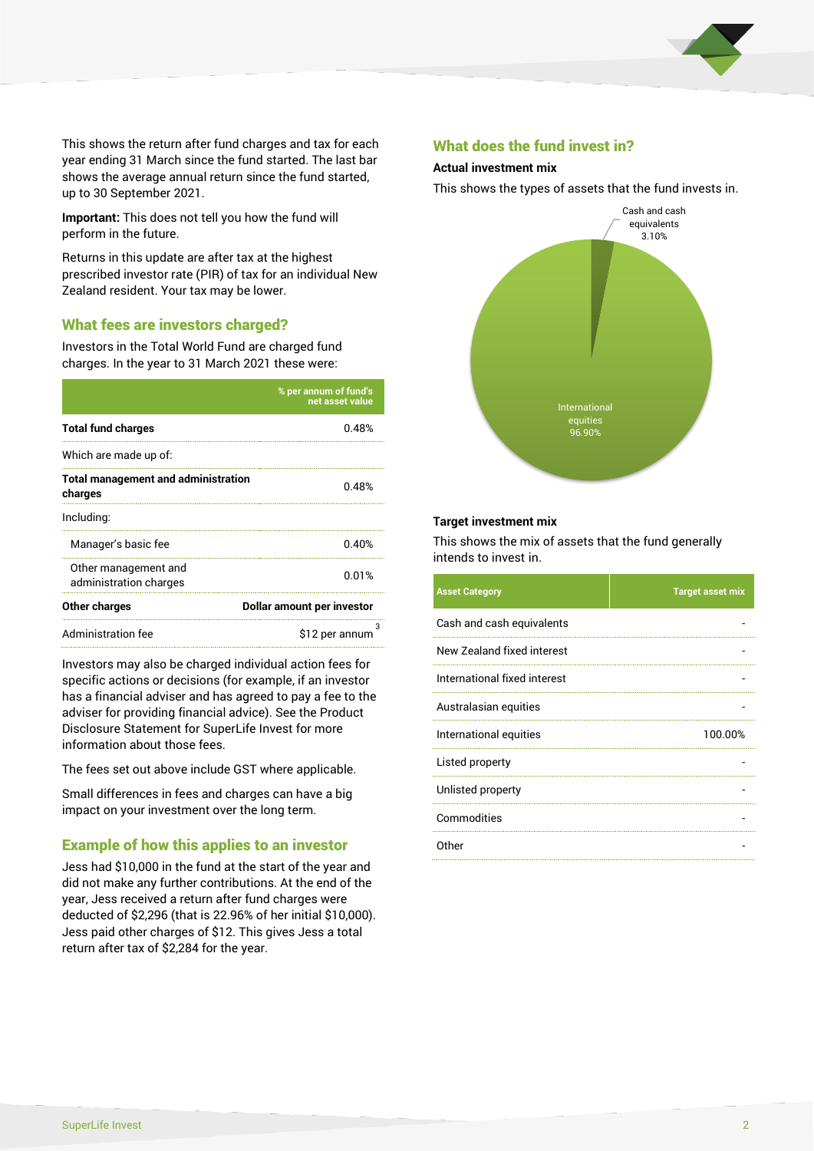

This shows the return after fund charges and tax for each year ending 31 March since the fund started. The last bar shows the average annual return since the fund started, up to 30 September 2021.

**Important:** This does not tell you how the fund will perform in the future.

Returns in this update are after tax at the highest prescribed investor rate (PIR) of tax for an individual New Zealand resident. Your tax may be lower.

#### What fees are investors charged?

Investors in the Total World Fund are charged fund charges. In the year to 31 March 2021 these were:

|                                                       | % per annum of fund's<br>net asset value |  |
|-------------------------------------------------------|------------------------------------------|--|
| <b>Total fund charges</b>                             | 0.48%                                    |  |
| Which are made up of:                                 |                                          |  |
| <b>Total management and administration</b><br>charges | በ 48%                                    |  |
| Including:                                            |                                          |  |
| Manager's basic fee                                   | 0.40%                                    |  |
| Other management and<br>administration charges        | 0.01%                                    |  |
| Other charges                                         | Dollar amount per investor               |  |
| Administration fee                                    | \$12 per annum                           |  |

Investors may also be charged individual action fees for specific actions or decisions (for example, if an investor has a financial adviser and has agreed to pay a fee to the adviser for providing financial advice). See the Product Disclosure Statement for SuperLife Invest for more information about those fees.

The fees set out above include GST where applicable.

Small differences in fees and charges can have a big impact on your investment over the long term.

#### Example of how this applies to an investor

Jess had \$10,000 in the fund at the start of the year and did not make any further contributions. At the end of the year, Jess received a return after fund charges were deducted of \$2,296 (that is 22.96% of her initial \$10,000). Jess paid other charges of \$12. This gives Jess a total return after tax of \$2,284 for the year.

#### What does the fund invest in?

#### **Actual investment mix**

This shows the types of assets that the fund invests in.



#### **Target investment mix**

This shows the mix of assets that the fund generally intends to invest in.

| <b>Asset Category</b>        | <b>Target asset mix</b> |
|------------------------------|-------------------------|
| Cash and cash equivalents    |                         |
| New Zealand fixed interest   |                         |
| International fixed interest |                         |
| Australasian equities        |                         |
| International equities       | 100.00%                 |
| Listed property              |                         |
| Unlisted property            |                         |
| Commodities                  |                         |
| Other                        |                         |